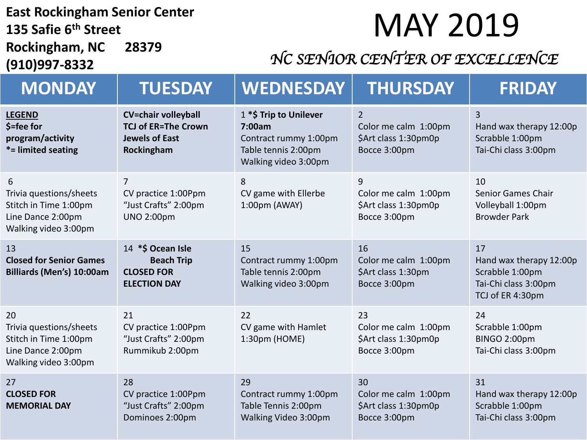#### **East Rockingham Senior Center 135 Safie 6th Street**

**Rockingham, NC 28379**

**(910)997-8332**

# MAY 2019

### *NC SENIOR CENTER OF EXCELLENCE*

| <b>MONDAY</b>                                                                                       | <b>TUESDAY</b>                                                                           | <b>WEDNESDAY</b>                                                                                         | <b>THURSDAY</b>                                                                | <b>FRIDAY</b>                                                                                |
|-----------------------------------------------------------------------------------------------------|------------------------------------------------------------------------------------------|----------------------------------------------------------------------------------------------------------|--------------------------------------------------------------------------------|----------------------------------------------------------------------------------------------|
| <b>LEGEND</b><br>$$ =$ fee for<br>program/activity<br>*= limited seating                            | <b>CV=chair volleyball</b><br><b>TCJ of ER=The Crown</b><br>Jewels of East<br>Rockingham | 1 *\$ Trip to Unilever<br>7:00am<br>Contract rummy 1:00pm<br>Table tennis 2:00pm<br>Walking video 3:00pm | $\overline{2}$<br>Color me calm 1:00pm<br>\$Art class 1:30pm0p<br>Bocce 3:00pm | $\overline{3}$<br>Hand wax therapy 12:00p<br>Scrabble 1:00pm<br>Tai-Chi class 3:00pm         |
| 6<br>Trivia questions/sheets<br>Stitch in Time 1:00pm<br>Line Dance 2:00pm<br>Walking video 3:00pm  | 7<br>CV practice 1:00Ppm<br>"Just Crafts" 2:00pm<br><b>UNO 2:00pm</b>                    | 8<br>CV game with Ellerbe<br>$1:00 \text{pm}$ (AWAY)                                                     | 9<br>Color me calm 1:00pm<br>\$Art class 1:30pm0p<br>Bocce 3:00pm              | 10<br><b>Senior Games Chair</b><br>Volleyball 1:00pm<br><b>Browder Park</b>                  |
| 13<br><b>Closed for Senior Games</b><br><b>Billiards (Men's) 10:00am</b>                            | 14 *\$ Ocean Isle<br><b>Beach Trip</b><br><b>CLOSED FOR</b><br><b>ELECTION DAY</b>       | 15<br>Contract rummy 1:00pm<br>Table tennis 2:00pm<br>Walking video 3:00pm                               | 16<br>Color me calm 1:00pm<br>\$Art class 1:30pm<br>Bocce 3:00pm               | 17<br>Hand wax therapy 12:00p<br>Scrabble 1:00pm<br>Tai-Chi class 3:00pm<br>TCJ of ER 4:30pm |
| 20<br>Trivia questions/sheets<br>Stitch in Time 1:00pm<br>Line Dance 2:00pm<br>Walking video 3:00pm | 21<br>CV practice 1:00Ppm<br>"Just Crafts" 2:00pm<br>Rummikub 2:00pm                     | 22<br>CV game with Hamlet<br>1:30pm (HOME)                                                               | 23<br>Color me calm 1:00pm<br>\$Art class 1:30pm0p<br>Bocce 3:00pm             | 24<br>Scrabble 1:00pm<br>BINGO 2:00pm<br>Tai-Chi class 3:00pm                                |
| 27<br><b>CLOSED FOR</b><br><b>MEMORIAL DAY</b>                                                      | 28<br>CV practice 1:00Ppm<br>"Just Crafts" 2:00pm<br>Dominoes 2:00pm                     | 29<br>Contract rummy 1:00pm<br>Table Tennis 2:00pm<br>Walking Video 3:00pm                               | 30<br>Color me calm 1:00pm<br>\$Art class 1:30pm0p<br>Bocce 3:00pm             | 31<br>Hand wax therapy 12:00p<br>Scrabble 1:00pm<br>Tai-Chi class 3:00pm                     |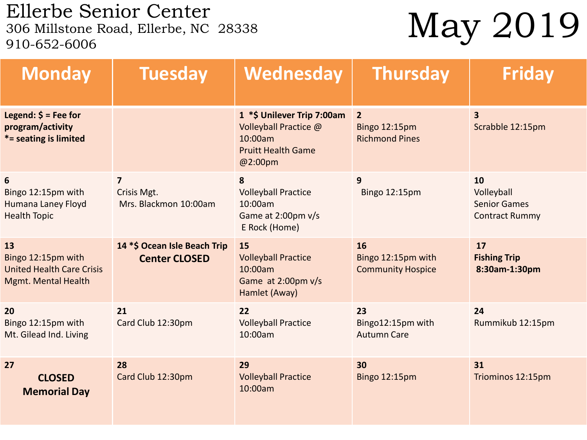Ellerbe Senior Center<br>306 Millstone Road, Ellerbe, NC 28338 910-652-6006

May 2019

| <b>Monday</b>                                                                              | <b>Tuesday</b>                                       | Wednesday                                                                                              | <b>Thursday</b>                                          | <b>Friday</b>                                                    |
|--------------------------------------------------------------------------------------------|------------------------------------------------------|--------------------------------------------------------------------------------------------------------|----------------------------------------------------------|------------------------------------------------------------------|
| Legend: $\frac{1}{2}$ = Fee for<br>program/activity<br>*= seating is limited               |                                                      | 1 *\$ Unilever Trip 7:00am<br>Volleyball Practice @<br>10:00am<br><b>Pruitt Health Game</b><br>@2:00pm | $\overline{2}$<br>Bingo 12:15pm<br><b>Richmond Pines</b> | $\overline{\mathbf{3}}$<br>Scrabble 12:15pm                      |
| 6<br>Bingo 12:15pm with<br>Humana Laney Floyd<br><b>Health Topic</b>                       | 7<br>Crisis Mgt.<br>Mrs. Blackmon 10:00am            | 8<br><b>Volleyball Practice</b><br>10:00am<br>Game at 2:00pm v/s<br>E Rock (Home)                      | 9<br>Bingo 12:15pm                                       | 10<br>Volleyball<br><b>Senior Games</b><br><b>Contract Rummy</b> |
| 13<br>Bingo 12:15pm with<br><b>United Health Care Crisis</b><br><b>Mgmt. Mental Health</b> | 14 *\$ Ocean Isle Beach Trip<br><b>Center CLOSED</b> | 15<br><b>Volleyball Practice</b><br>10:00am<br>Game at 2:00pm v/s<br>Hamlet (Away)                     | 16<br>Bingo 12:15pm with<br><b>Community Hospice</b>     | 17<br><b>Fishing Trip</b><br>8:30am-1:30pm                       |
| 20<br>Bingo 12:15pm with<br>Mt. Gilead Ind. Living                                         | 21<br>Card Club 12:30pm                              | 22<br><b>Volleyball Practice</b><br>10:00am                                                            | 23<br>Bingo12:15pm with<br><b>Autumn Care</b>            | 24<br>Rummikub 12:15pm                                           |
| 27<br><b>CLOSED</b><br><b>Memorial Day</b>                                                 | 28<br>Card Club 12:30pm                              | 29<br><b>Volleyball Practice</b><br>10:00am                                                            | 30<br>Bingo 12:15pm                                      | 31<br>Triominos 12:15pm                                          |